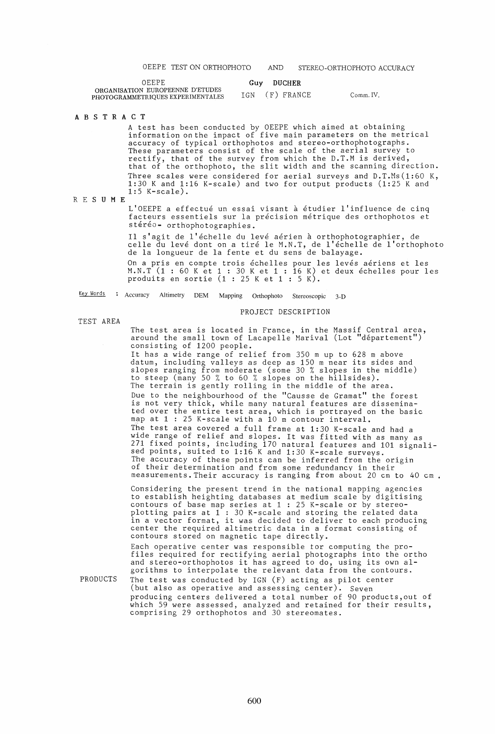|  |  | OEEPE TEST ON ORTHOPHOTO | AND | STEREO-ORTHOPHOTO ACCURACY |
|--|--|--------------------------|-----|----------------------------|
|--|--|--------------------------|-----|----------------------------|

| OEEPE                                                                 | Guy DUCHER     |           |
|-----------------------------------------------------------------------|----------------|-----------|
| ORGANISATION EUROPEENNE D'ETUDES<br>PHOTOGRAMMETRIQUES EXPERIMENTALES | IGN (F) FRANCE | Comm. IV, |

#### A B S T R ACT

A test has been conducted by OEEPE which aimed at obtaining information onthe impact of five main parameters on the metrical accuracy of typical orthophotos and stereo-orthophotographs. These parameters consist of the scale of the aerial survey to rectify, that of the survey from which the D.T.M is derived, that of the orthophoto, the slit width and the scanning direction. Three scales were considered for aerial surveys and  $D.T.Ms(1:60 K,$ 1:30 K and 1:16 K-scale) and two for output products (1:25 K and 1:5 K-scale).

RES U M E

L'OEEPE a effectué un essai visant à étudier l'influence de cinq facteurs essentiels sur la précision métrique des orthophotos et stéréo- orthophotographies.

Il s'agit de l'échelle du levé aérien à orthophotographier, de ri s'agri de l'echerie da reve aerien a orthophotographier, de<br>celle du levé dont on a tiré le M.N.T, de l'échelle de l'orthophoto de la longueur de la fente et du sens de balayage.

On a pris en compte trois échelles pour les levés aériens et les M.N.T (1 : 60 K et 1 : 30 K et 1 : 16 K) et deux echelles pour les produits en sortie  $(1 : 25$  K et  $1 : 5$  K).

Key Words : Accuracy Altimetry DEM Mapping Orthophoto Stereoscopic 3-D

## PROJECT DESCRIPTION

TEST AREA

The test area is located in France, in the Massif Central area, around the small town of Lacapelle Marival (Lot "département") consisting of 1200 people. It has a wide range of relief from 350 m up to 628 m above datum, including valleys as deep as 150 m near its sides and slopes ranging from moderate (some 30 % slopes in the middle) to steep (many 50 % to 60 % slopes on the hillsides).

The terrain is gently rolling in the middle of the area. Due to the neighbourhood of the "Causse de Gramat" the forest is not very thick, while many natural features are disseminated over the entire test area, which is portrayed on the basic map at  $1 : 25$  K-scale with a  $10$  m contour interval. The test area covered a full frame at 1:30 K-scale and had a wide range of relief and slopes. It was fitted with as many as 271 fixed points, including 170 natural features and 101 signalised points, suited to 1:16 K and 1:30 K-scale surveys. The accuracy of these points can be inferred from the origin of their determination and from some redundancy in their measurements. Their accuracy is ranging from about 20 cm to 40 cm •

Considering the present trend in the national mapping agencies to establish heighting databases at medium scale by digitising contours of base map series at 1 : 25 K-scale or by stereoplotting pairs at 1 : 30 K-scale and storing the related data protting parts at 1 : 50 K-scare and storing the refated data<br>in a vector format, it was decided to deliver to each producing In a vector formal, is was accreased to activer to each product contours stored on magnetic tape directly.

PRODUCTS Each operative center was responsible tor computing the profiles required for rectifying aerial photographs into the ortho and stereo-orthophotos it has agreed to do, using its own aland every exemple of the dependence of do, doing its own are got in an approximate the relevant data from the contours. The test was conducted by IGN (F) acting as pilot center (but also as operative and assessing center). Seven producing centers delivered a total number of 90 products,out of producing centers definiting a rotal namber of 30 produces, out of comprising 29 orthophotos and 30 stereomates.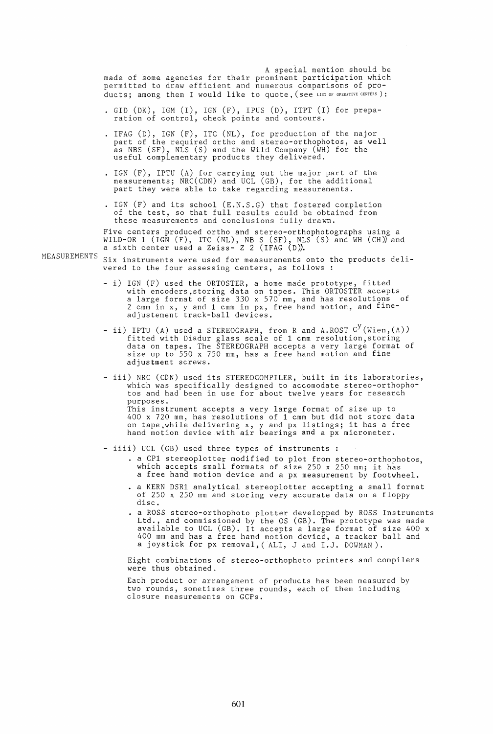A special mention should be made of some agencies for their prominent participation which permitted to draw efficient and numerous comparisons of products; among them I would like to quote, (see LIST OF OPERATIVE CENTERS):

- · GID (DK), IGM (I), IGN (F), IPUS (D), ITPT (I) for preparation of control, check points and contours.
- . IFAG (D), IGN (F), ITC (NL), for production of the major part of the required ortho and stereo-orthophotos, as well as NBS (SF), NLS (S) and the Wild Company (WH) for the useful complementary products they delivered.
- · IGN (F), IPTU (A) for carrying out the major part of the measurements; NRC(CDN) and UCL (GB), for the additional part they were able to take regarding measurements.
- · IGN (F) and its school (E.N.S.G) that fostered completion of the test, so that full results could be obtained from these measurements and conclusions fully drawn.

Five centers produced ortho and stereo-orthophotographs using a WILD-OR 1 (IGN (F), ITC (NL), NB S (SF), NLS (S) and WH (CH)) and a sixth center used a Zeiss- Z 2 (IFAG (D)).

- MEASUREMENTS Six instruments were used for measurements onto the products delivered to the four assessing centers, as follows :
	- i) IGN (F) used the ORTOSTER, a home made prototype, fitted with encoders,storing data on tapes. This ORTOSTER accepts<br>a large format of size 330 x 570 mm, and has resolutions of 2 cmm in x, y and 1 cmm in px, free hand motion, and fineadjustement track-ball devices.
	- ii) IPTU (A) used a STEREOGRAPH, from R and A.ROST  $\text{C}^{\text{y}}$  (Wien,(A) fitted with Diadur glass scale of 1 cmm resolution,storing data on tapes. The STEREOGRAPH accepts a very large format of size up to 550 x 750 mm, has a free hand motion and fine adjustment screws.
	- iii) NRC (CDN) used its STEREOCOMPILER, built in its laboratories, which was specifically designed to accomodate stereo-orthophotos and had been in use for about twelve years for research purposes. This instrument accepts a very large format of size up to 400 x 720 mm, has resolutions of 1 cmm but did not store data on tape,while delivering x, y and px listings; it has a free on tape, while defivering  $\lambda$ ,  $\lambda$  and px fistings, it has different hand motion device with air bearings and a px micrometer.
	- iiii) UCL (GB) used three types of instruments :
		- a CPl stereoplotter modified to plot from stereo-orthophotos, which accepts small formats of size 250 x 250 mm; it has a free hand motion device and a px measurement by footwheel .
		- a KERN DSRl analytical stereoplotter accepting a small format of 250 x 250 mm and storing very accurate data on a floppy disc.
		- . a ROSS stereo-orthophoto plotter developped by ROSS Instruments Ltd., and commissioned by the OS (GB). The prototype was made available to UCL (GB). It accepts a large format of size 400 x 400 mm and has a free hand motion device, a tracker ball and a joystick for px removal, (ALI, J and I.J. DOWMAN).

Eight combinations of stereo-orthophoto printers and compilers were thus obtained.

Each product or arrangement of products has been measured by two rounds, sometimes three rounds, each of them including closure measurements on GCPs.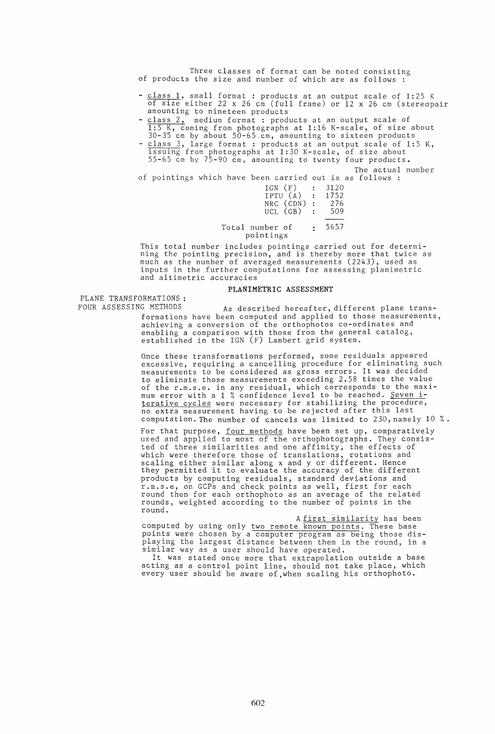Three classes of format can be noted consisting of products the size and number of which are as follows :

- class 1, small format: products at an output scale of 1:25 K of size either 22 x 26 cm (full frame) or 12 x 26 cm (stereopair amounting to nineteen products
- class 2, medium format: products at an output scale of 1:5 K, coming from photographs at 1:16 K-scale, of size about 30-35 cm by about 50-65.cm, amounting to sixteen products
- class 3, large format: products at an output scale of 1:5 K, issuing from photographs at 1:30 K-scale, of size about 55-65 cm by 75-90 cm, amounting to twenty four products.

The actual number

of pointings which have been carried out is as follows :

| IGN (F)         | $\ddot{\cdot}$ | 3120 |
|-----------------|----------------|------|
| IPTU (A)        | $\ddot{z}$     | 1752 |
| NRC (CDN)       | $\ddot{\cdot}$ | 276  |
| $UCL$ $(GB)$    | $\mathcal{L}$  | 509  |
|                 |                |      |
| 1. <del>.</del> |                | 5657 |

#### Total number of pointings 5657

This total number includes pointings carried out for determining the pointing precision, and is thereby more that twice as<br>much as the number of averaged measurements (2243), used as<br>inputs in the further computations for assessing planimetric inputs in the further computations for assessing planimetric and altimetric accuracies

## PLANIMETRIC ASSESSMENT

PLANE TRANSFORMATIONS :<br>FOUR ASSESSING METHODS

As described hereafter, different plane transformations have been computed and applied to those measurements, achieving a conversion of the orthophotos co-ordinates and enabling a comparison with those from the general catalog, established in the IGN (F) Lambert grid system.

Once these transformations performed, some residuals appeared excessive, requiring a cancelling procedure for eliminating such measurements to be considered as gross errors. It was decided to eliminate those measurements exceeding 2.58 times the value of the r.m.s.e. in any residual, which corresponds to the maxi-<br>mum error with a 1 % confidence level to be reached. <u>Seven i</u>terative cycles were necessary for stabilizing the procedure, no extra measurement having to be rejected after this last computation. The number of cancels was limited to 230, namely 10 %.

For that purpose, <u>four methods</u> have been set up, comparatively used and applied to most of the orthophotographs. They consisted of three similarities and one affinity, the effects of vod of three craftariores and the diringly, the critical conditions scaling either similar along x and y or different. Hence they permitted it to evaluate the accuracy of the different products by computing residuals, standard deviations and r.m.s.e, on GCPs and check points as well, first for each round then for each orthophoto as an average of the related rounds, weighted according to the number of points in the round.

A first similarity has been

computed by using only two remote known points. These base points were chosen by a computer program as being those displaying the largest distance between them in the round, in a similar way as a user should have operated. similar way as a user should have operated.<br>It was stated once more that extrapolation outside a base

acting as a control point line, should not take place, which every user should be aware of , when scaling his orthophoto.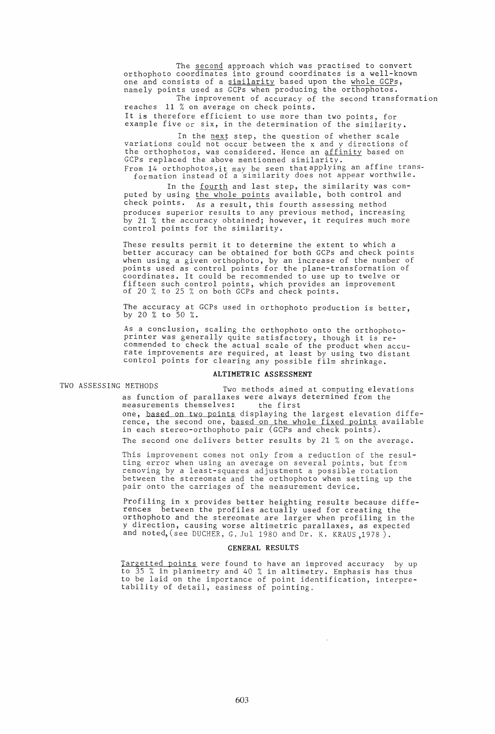The second approach which was practised to convert orthophoto coordinates into ground coordinates is a well-known<br>one and consists of a <u>similarity</u> based upon the whole GCPs, one and consists of a similarity based upon the whole GCPs, namely points used as GCPs when producing the orthophotos.

The improvement of accuracy of the second transformation reaches 11 % on average on check points. It is therefore efficient to use more than two points, for

example five or six, in the determination of the similarity.

In the next step, the question of whether scale variations could not occur between the x and y directions of the orthophotos, was considered. Hence an affinity based on GCPs replaced the above mentionned similarity. From 14 orthophotos,it may be seen thatapplying an affine trans-

formation instead of a similarity does not appear worthwile.

In the fourth and last step, the similarity was computed by using the whole points available, both control and check points. As a result, this fourth assessing method produces superior results to any previous method, increasing by 21 % the accuracy obtained; however, it requires much more control points for the similarity.

These results permit it to determine the extent to which a better accuracy can be obtained for both GCPs and check points when using a given orthophoto, by an increase of the number of points used as control points for the plane-transformation of coordinates. It could be recommended to use up to twelve or fifteen such control points, which provides an improvement of 20 % to 25 % on both GCPs and check points.

The accuracy at GCPs used in orthophoto production is better, by 20 % to 50 %.

As a conclusion, scaling the orthophoto onto the orthophotoprinter was generally quite satisfactory, though it is re-<br>commended to check the actual scale of the product when accurate improvements are required, at least by using two distant<br>control points for clearing any possible film shrinkage.

#### ALTIMETRIC ASSESSMENT

TWO ASSESSING METHODS Two methods aimed at computing elevations as function of parallaxes were always determined from the measurements themselves: the first one, based on two points displaying the largest elevation difference, the second one, based on the whole fixed points available in each stereo-orthophoto pair (GCPs and check points). The second one delivers better results by 21 % on the average.

> This improvement comes not only from a reduction of the resulting error when using an average on several points, but from removing by a least-squares adjustment a possible rotation between the stereomate and the orthophoto when setting up the pair onto the carriages of the measurement device.

> Profiling in x provides better heighting results because diffe- rences between the profiles actually used for creating the orthophoto and the stereomate are larger when profiling in the y direction, causing worse altimetric parallaxes, as expected and noted, (see DUCHER, G. Jul 1980 and Dr. K. KRAUS ,1978 ).

#### GENERAL RESULTS

Targetted points were found to have an improved accuracy by up to 35 % in planimetry and 40 % in altimetry. Emphasis has thus to be laid on the importance of point identification, interpretability of detail, easiness of pointing.

 $\bar{\nu}$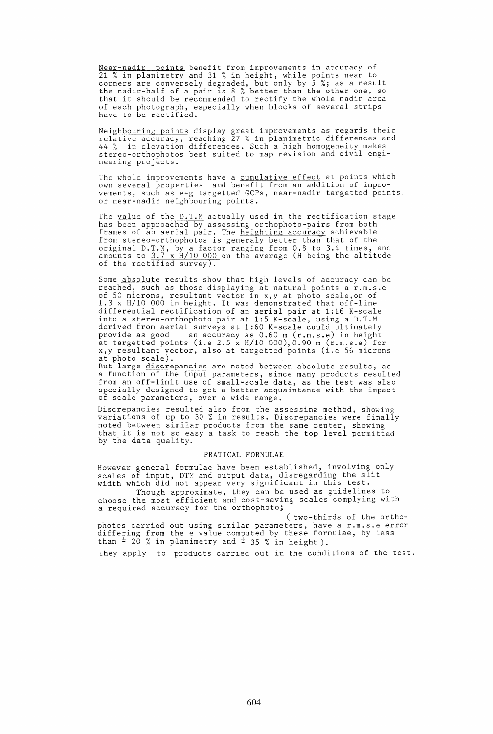Near-nadir points benefit from improvements in accuracy of 21 % in planimetry and 31 % in height, while points near to corners are conversely degraded, but only by 5 %; as a result the nadir-half of a pair is 8 % better than the other one, so that it should be recommended to rectify the whole nadir area of each photograph, especially when blocks of several strips have to be rectified.

Neighbouring points display great improvements as regards their relative accuracy, reaching 27 % in planimetric differences and 44 % in elevation differences. Such a high homogeneity makes stereo-orthophotos best suited to map revision and civil engineering projects.

The whole improvements have a <u>cumulative effect</u> at points which own several properties and benefit from an addition of improvements, such as e-g targetted GCPs, near-nadir targetted points, or near-nadir neighbouring points.

The value of the D.T.M actually used in the rectification stage has been approached by assessing orthophoto-pairs from both frames of an aerial pair. The heighting accuracy achievable from stereo-orthophotos is generaly better than that of the original D.T.M, by a factor ranging from 0.8 to 3.4 times, and amounts to 3.7 x *Hl10* 000 on the average (H being the altitude of the rectified survey).

Some <u>absolute results</u> show that high levels of accuracy can be reached, such as those displaying at natural points a r.m.s.e of 50 microns, resultant vector in x,y at photo scale,or of 1.3 x *Hl10* 000 in height. It was demonstrated that off-line differential rectification of an aerial pair at 1:16 K-scale into a stereo-orthophoto pair at 1:5 K-scale, using a D.T.M derived from aerial surveys at 1:60 K-scale could ultimately provide as good an accuracy as 0.60 m (r.m.s.e) in height at targetted points (i.e 2.5 x *Hl10* 000),0.90 m (r.m.s.e) for x,y resultant vector, also at targetted points (i.e 56 microns at photo scale).

av <sub>phoso soursy.</sub><br>But large <u>discrepancies</u> are noted between absolute results, as a function of the input parameters, since many products resulted from an off-limit use of small-scale data, as the test was also specially designed to get a better acquaintance with the impact of scale parameters, over a wide range.

Discrepancies resulted also from the assessing method, showing variations of up to 30 % in results. Discrepancies were finally noted between similar products from the same center, showing<br>that it is not so easy a task to reach the top level permitted by the data quality.

#### PRATICAL FORMULAE

However general formulae have been established, involving only scales of input, DTM and output data, disregarding the slit scares of finder, bin and output data, disregarding one of

Though approximate, they can be used as guidelines to choose the most efficient and cost-saving scales complying with a required accuracy for the orthophoto;

( two-thirds of the orthophotos carried out using similar parameters, have a r.m.s.e error phoses carried our deing crained parameters, have a semicle set than  $\pm$  20 % in planimetry and  $\pm$  35 % in height).

They apply to products carried out in the conditions of the test.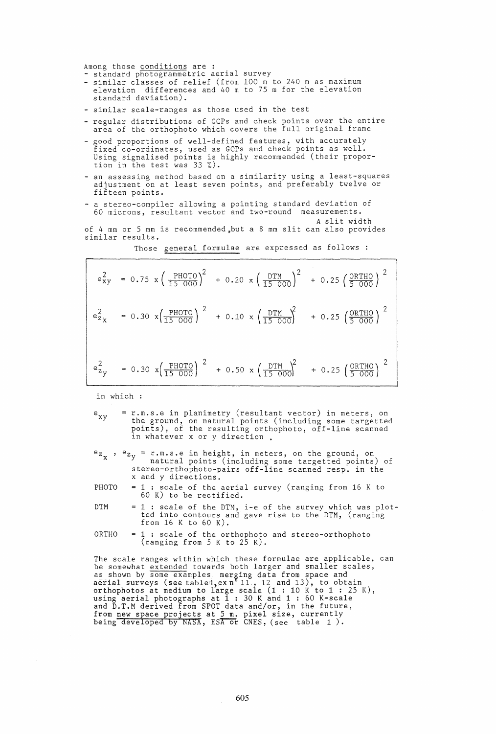Among those conditions are :<br>- standard photogrammetric aerial survey

- similar classes of relief (from 100 m to 240 m as maximum elevation differences and 40 m to 75 m for the elevation standard deviation).
- similar scale-ranges as those used in the test
- regular distributions of GCPs and check points over the entire area of the orthophoto which covers the full original frame
- good proportions of well-defined features, with accurately fixed co-ordinates, used as GCPs and check points as well. Using signalised points is highly recommended (their proportion in the test was 33 %).
- an assessing method based on a similarity using a least-squares adjustment on at least seven points, and preferably twelve or fifteen points.
- a stereo-compiler allowing a pointing standard deviation of 60 microns, resultant vector and two-round measurements.
- A slit width of 4 mm or 5 mm is recommended ,but a 8 mm slit can also provides similar results.

Those general formulae are expressed as follows :

|  | $e_{xy}^{2} = 0.75 \times \left(\frac{PHOTO}{15000}\right)^{2} + 0.20 \times \left(\frac{DTM}{15000}\right)^{2} + 0.25 \left(\frac{ORTHO}{5000}\right)^{2}$                         |  |
|--|-------------------------------------------------------------------------------------------------------------------------------------------------------------------------------------|--|
|  | $\left[ e_{z_{x}}^{2} = 0.30 \times \left( \frac{PHOTO}{15000} \right)^{2} + 0.10 \times \left( \frac{DTM}{15000} \right)^{2} + 0.25 \left( \frac{ORTHO}{5000} \right)^{2} \right]$ |  |
|  | $e_{z_y}^2$ = 0.30 $x(\frac{PHOTO}{15 000})^2$ + 0.50 $x(\frac{DTM}{15 000})^2$ + 0.25 $(\frac{ORTHO}{5 000})^2$                                                                    |  |

in which

e<sub>xy</sub> = r.m.s.e in planimetry (resultant vector) in meters, on the ground, on natural points (including some targetted points), of the resulting orthophoto, off-line scanned in whatever x or y direction .

 $e_{Z_x}$ ,  $e_{Z_y}$  = r.m.s.e in height, in meters, on the ground, on natural points (including some targetted points) of stereo-orthophoto-pairs off-line scanned resp. in the x and y directions.

- PHOTO = 1 : scale of the aerial survey (ranging from 16 K to 60 K) to be rectified.
- DTM  $= 1$ : scale of the DTM, i-e of the survey which was plotted into contours and gave rise to the DTM, (ranging from 16 K to 60 K).
- $ORTHO = 1$ : scale of the orthophoto and stereo-orthophoto (ranging from  $5 K to 25 K$ ).

The scale ranges within which these formulae are applicable, can be somewhat extended towards both larger and smaller scales, as shown by some examples merging data from space and aerial surveys (see tabled, ex n<sup>8</sup> 11., 12 and 13), to obtain orthophotos at medium to large scale  $(1 : 10 K to 1 : 25 K)$ , using aerial photographs at 1 : 30 K and 1 : 60 K-scale and D.T.M derived from SPOT data and/or, in the future, from new space projects at 5 m. pixel size, currently being developed by NASA, ESA or CNES, (see table 1).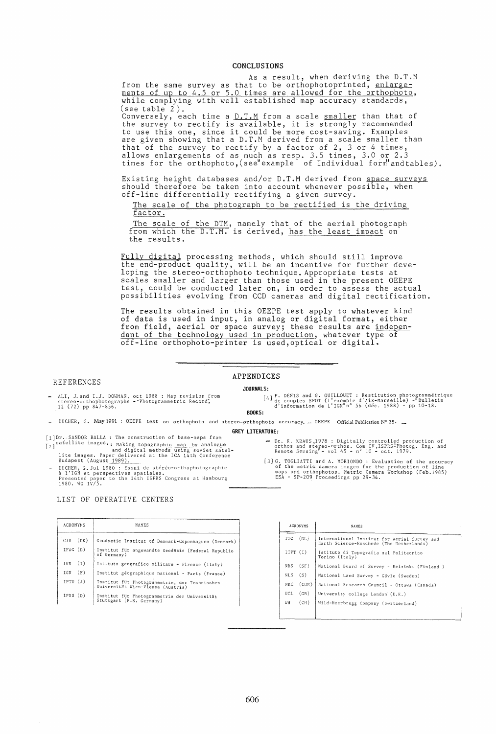## CONCLUSIONS

As a result, when deriving the D.T.M from the same survey as that to be orthophotoprinted, enlargements of up to 4.5 or 5.0 times are allowed for the orthophoto, while complying with well established map accuracy standards, (see table 2).

Conversely, each time a D.T.M from a scale smaller than that of the survey to rectify is available, it is strongly recommended the survey to rectify is available, it is strongly recommended<br>to use this one, since it could be more cost-saving. Examples<br>are given showing that a D.T.M derived from a scale smaller than that of the survey to rectify by a factor of 2, 3 or 4 times, allows enlargements of as much as resp. 3.5 times, 3.0 or 2.3 times for the orthophoto, (see"example of Individual form" andtables).

Existing height databases and/or D.T.M derived from space surveys should therefore be taken into account whenever possible, when off-line differentially rectifying a given survey.

The scale of the photograph to be rectified is the driving factor.

The scale of the DTM, namely that of the aerial photograph from which the D.T.M. is derived, has the least impact on the results.

Fully digital processing methods, which should still improve the end-product quality, will be an incentive for further developing the stereo-orthophoto technique. Appropriate tests at scales smaller and larger than those used in the present OEEPE test, could be conducted later on, in order to assess the actual possibilities evolving from CCD cameras and digital rectification.

The results obtained in this OEEPE test apply to whatever kind of data is used in input, in analog or digital format, either from field, aerial or space survey; these results are independant of the technology used in production, whatever type of off-line orthophoto-printer is used,optical or digital.

#### REFERENCES

## APPENDICES

## JOURNALS:

- ALI, J.and I.J. DOWMAN, oct 1988 : Map revision from<br>stereo-orthophotographs - "Photogrammetric Record",<br>12 (72) pp 847-856.

[4] P. DENIS and G. GUILLOUET : Restitution photogrammetrique de couples SPOT (l' exemple d' Aix-~larseille) -" Bulletin d'information de l'IGN"n° 56 (dec. 1988) - pp 10-18.

Dr. K. KRAUS 1978 : Digitally controlled production of<br>orthos and stereo-orthos. Com IV,ISPRS<sup>19</sup>hotog. Eng. and<br>Remote Sensing<sup>H</sup> - vol 45 - n<sup>o</sup> 10 - oct. 1979.

[3] G. TOGLIATTI and A. MORIONDO : Evaluation of the accuracy of the metric camera images for the production of line maps and orthophotos. Metric Camera Workshop (Feb.1985) ESA - SP-209 Proceedings pp 29-34.

#### BOOKS:

DUCHER, G. May 1991 : OEEPE test on orthophoto and stereo-,orthophoto accuracy. \_ OEEPE Official Publication N° 25. \_

GREY LITERATURE:

- [1] Dr. SANDOR BALLA : The construction of base-maps from<br>  $\lceil 2 \rceil$  satellite images. Making topographic map by analogue<br>
and digital methods using soviet satel-<br>
lite images. Paper delivered at the ICA 14th Conference<br>
- DUCHER, G. Jul 1980 : Essai de stéréo-orthophotographie<br>à l'IGN et perspectives spatiales.<br>Presented paper to the 14th ISPRS Congress at Hambourg<br>1980. WG IV/5.

## LIST OF OPERATIVE CENTERS

| <b>NAMES</b>                                                                       |
|------------------------------------------------------------------------------------|
| Geodaetic Institut of Denmark-Copenhaguen (Denmark)                                |
| Institut für angewandte Geodäsie (Federal Republic<br>of Germany)                  |
| Istituto geografico militare - Firenze (Italy)                                     |
| Institut géographique national - Paris (France)                                    |
| Institut für Photogrammetrie, der Technischen<br>Universität Wien-Vienna (Austria) |
| Institut für Photogrammetrie der Universität<br>Stuttgart (F.R. Germany)           |
|                                                                                    |

| <b>ACRONYMS</b> | NAMES                                                                                    |
|-----------------|------------------------------------------------------------------------------------------|
| (NL)<br>ITC.    | International Institut for Aerial Survey and<br>Earth Science-Enschede (The Netherlands) |
| ITPT (I)        | Istituto di Topografia del Politecnico<br>Torino (Italy)                                 |
| (SF)<br>NBS     | National Board of Survey - Helsinki (Finland )                                           |
| $NLS$ $(S)$     | National Land Survey - Gävle (Sweden)                                                    |
| (CDN)<br>NRC.   | National Research Council - Ottawa (Canada)                                              |
| UCL<br>(GB)     | University college London (U.K.)                                                         |
| WН<br>(CH)      | Wild-Heerbrugg Company (Switzerland)                                                     |